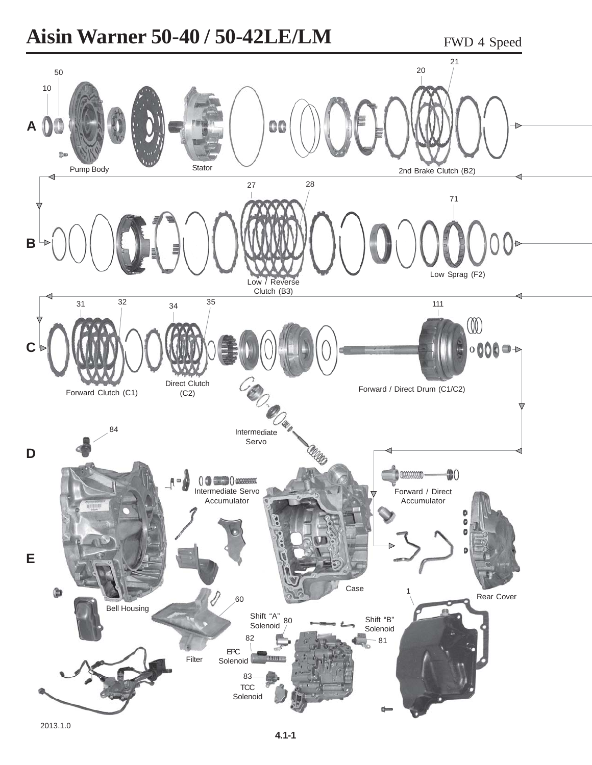## **Aisin Warner 50-40 / 50-42LE/LM** FWD 4 Speed

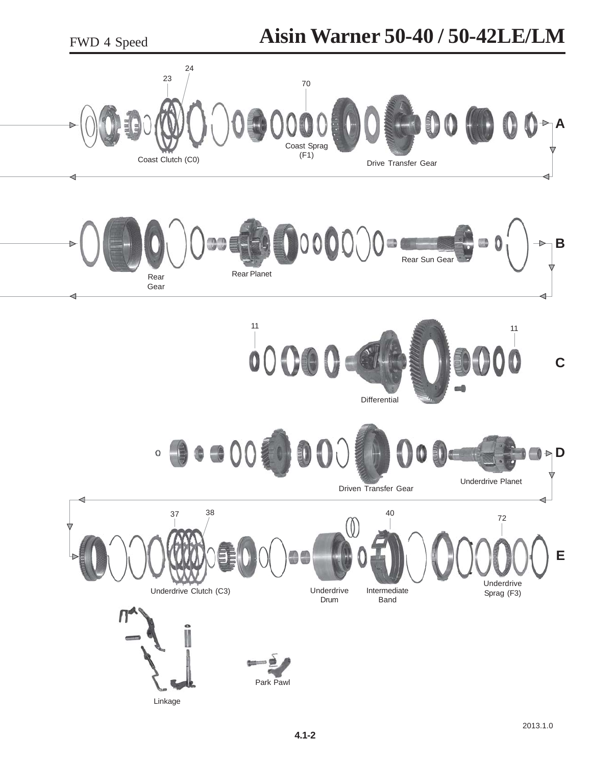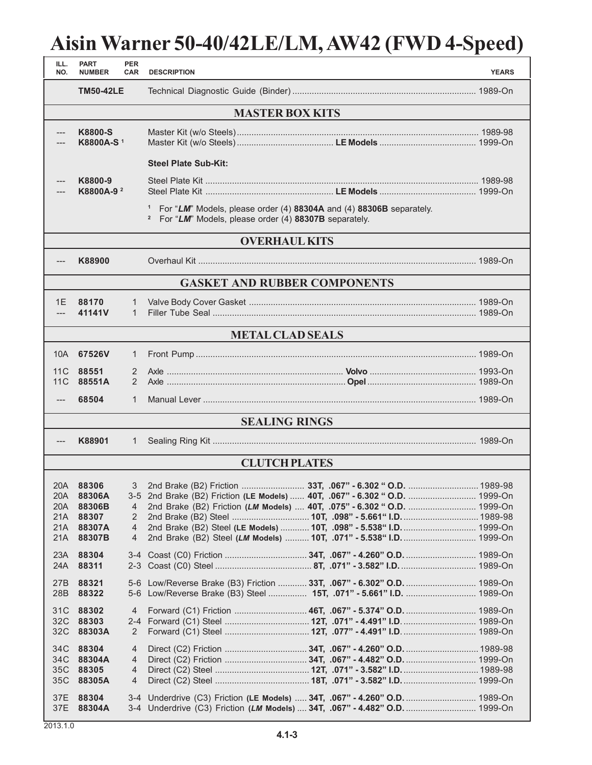## **Aisin Warner 50-40/42LE/LM, AW42 (FWD 4-Speed)**

| ILL.<br>NO.                             | <b>PART</b><br><b>NUMBER</b>                               | <b>PER</b><br><b>CAR</b>                        | <b>DESCRIPTION</b>                                                                                                                                                                                                                                                                                   | <b>YEARS</b> |  |  |  |  |
|-----------------------------------------|------------------------------------------------------------|-------------------------------------------------|------------------------------------------------------------------------------------------------------------------------------------------------------------------------------------------------------------------------------------------------------------------------------------------------------|--------------|--|--|--|--|
|                                         | <b>TM50-42LE</b>                                           |                                                 |                                                                                                                                                                                                                                                                                                      |              |  |  |  |  |
| <b>MASTER BOX KITS</b>                  |                                                            |                                                 |                                                                                                                                                                                                                                                                                                      |              |  |  |  |  |
|                                         | K8800-S<br>K8800A-S <sup>1</sup>                           |                                                 |                                                                                                                                                                                                                                                                                                      |              |  |  |  |  |
|                                         |                                                            |                                                 | <b>Steel Plate Sub-Kit:</b>                                                                                                                                                                                                                                                                          |              |  |  |  |  |
|                                         | K8800-9<br>K8800A-9 <sup>2</sup>                           |                                                 |                                                                                                                                                                                                                                                                                                      |              |  |  |  |  |
| $\mathbf{1}$<br>$\overline{\mathbf{c}}$ |                                                            |                                                 | For "LM" Models, please order (4) 88304A and (4) 88306B separately.<br>For "LM" Models, please order (4) 88307B separately.                                                                                                                                                                          |              |  |  |  |  |
| <b>OVERHAUL KITS</b>                    |                                                            |                                                 |                                                                                                                                                                                                                                                                                                      |              |  |  |  |  |
| ---                                     | K88900                                                     |                                                 |                                                                                                                                                                                                                                                                                                      |              |  |  |  |  |
| <b>GASKET AND RUBBER COMPONENTS</b>     |                                                            |                                                 |                                                                                                                                                                                                                                                                                                      |              |  |  |  |  |
| 1E<br>$---$                             | 88170<br>41141V                                            | 1<br>$\mathbf{1}$                               |                                                                                                                                                                                                                                                                                                      |              |  |  |  |  |
| <b>METAL CLAD SEALS</b>                 |                                                            |                                                 |                                                                                                                                                                                                                                                                                                      |              |  |  |  |  |
| 10A                                     | 67526V                                                     | $\mathbf{1}$                                    |                                                                                                                                                                                                                                                                                                      |              |  |  |  |  |
| 11 C<br>11C                             | 88551<br>88551A                                            | 2<br>$\overline{2}$                             |                                                                                                                                                                                                                                                                                                      |              |  |  |  |  |
|                                         | 68504                                                      | 1                                               |                                                                                                                                                                                                                                                                                                      |              |  |  |  |  |
|                                         |                                                            |                                                 | <b>SEALING RINGS</b>                                                                                                                                                                                                                                                                                 |              |  |  |  |  |
| ---                                     | K88901                                                     | 1                                               |                                                                                                                                                                                                                                                                                                      |              |  |  |  |  |
|                                         |                                                            |                                                 | <b>CLUTCH PLATES</b>                                                                                                                                                                                                                                                                                 |              |  |  |  |  |
| 20A<br>20A<br>21A<br>21A<br>21A         | 20A 88306<br>88306A<br>88306B<br>88307<br>88307A<br>88307B | 3<br>4<br>2<br>$\overline{4}$<br>$\overline{4}$ | 3-5 2nd Brake (B2) Friction (LE Models)  40T, .067" - 6.302 " O.D.  1999-On<br>2nd Brake (B2) Friction (LM Models)  40T, .075" - 6.302 " O.D.  1999-On<br>2nd Brake (B2) Steel (LE Models)  10T, .098" - 5.538" I.D.  1999-On<br>2nd Brake (B2) Steel (LM Models)  10T, .071" - 5.538" I.D.  1999-On |              |  |  |  |  |
| 23A<br>24A                              | 88304<br>88311                                             |                                                 |                                                                                                                                                                                                                                                                                                      |              |  |  |  |  |
| 27B<br>28 <sub>B</sub>                  | 88321<br>88322                                             |                                                 | 5-6 Low/Reverse Brake (B3) Friction  33T, .067" - 6.302" O.D.  1989-On                                                                                                                                                                                                                               |              |  |  |  |  |
| 31C<br>32 <sup>C</sup><br>32C           | 88302<br>88303<br>88303A                                   | 4<br>2                                          | Forward (C1) Friction  46T, .067" - 5.374" O.D.  1989-On                                                                                                                                                                                                                                             |              |  |  |  |  |
| 34C<br>34C<br>35C<br>35C                | 88304<br>88304A<br>88305<br>88305A                         | $\overline{4}$<br>4<br>4<br>4                   |                                                                                                                                                                                                                                                                                                      |              |  |  |  |  |
| 37E<br>37E                              | 88304<br>88304A                                            |                                                 | 3-4 Underdrive (C3) Friction (LE Models)  34T, .067" - 4.260" O.D.  1989-On<br>3-4 Underdrive (C3) Friction (LM Models)  34T, .067" - 4.482" O.D.  1999-On                                                                                                                                           |              |  |  |  |  |